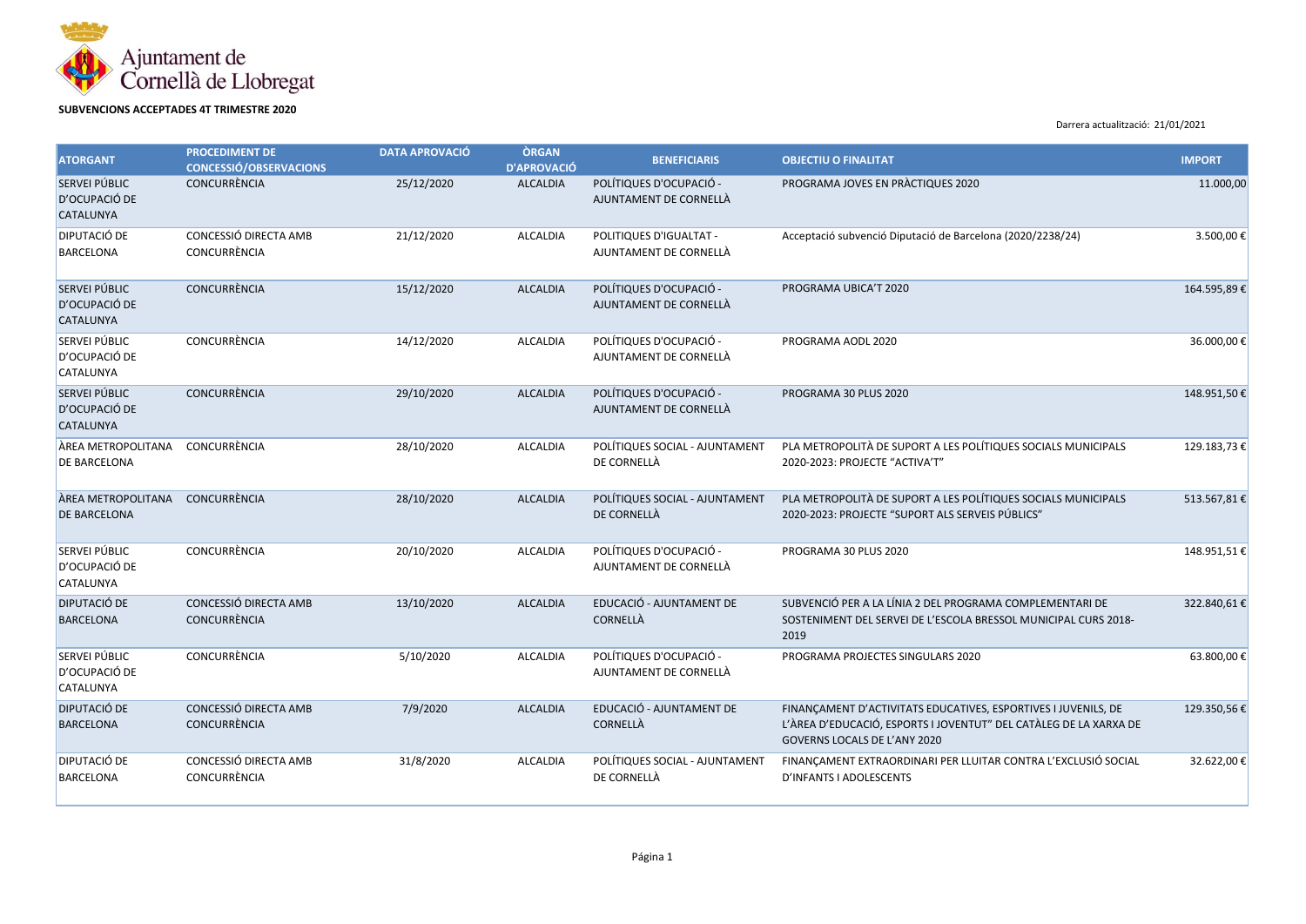

## **SUBVENCIONS ACCEPTADES 4T TRIMESTRE 2020**

Darrera actualització: 21/01/2021

| <b>ATORGANT</b>                                    | <b>PROCEDIMENT DE</b><br><b>CONCESSIÓ/OBSERVACIONS</b> | <b>DATA APROVACIÓ</b> | <b>ÒRGAN</b><br><b>D'APROVACIÓ</b> | <b>BENEFICIARIS</b>                               | <b>OBJECTIU O FINALITAT</b>                                                                                                                                         | <b>IMPORT</b> |
|----------------------------------------------------|--------------------------------------------------------|-----------------------|------------------------------------|---------------------------------------------------|---------------------------------------------------------------------------------------------------------------------------------------------------------------------|---------------|
| SERVEI PÚBLIC<br>D'OCUPACIÓ DE<br><b>CATALUNYA</b> | <b>CONCURRÈNCIA</b>                                    | 25/12/2020            | <b>ALCALDIA</b>                    | POLÍTIQUES D'OCUPACIÓ -<br>AJUNTAMENT DE CORNELLÀ | PROGRAMA JOVES EN PRÀCTIQUES 2020                                                                                                                                   | 11.000,00     |
| <b>DIPUTACIÓ DE</b><br><b>BARCELONA</b>            | CONCESSIÓ DIRECTA AMB<br>CONCURRÈNCIA                  | 21/12/2020            | <b>ALCALDIA</b>                    | POLITIQUES D'IGUALTAT -<br>AJUNTAMENT DE CORNELLÀ | Acceptació subvenció Diputació de Barcelona (2020/2238/24)                                                                                                          | 3.500,00€     |
| SERVEI PÚBLIC<br>D'OCUPACIÓ DE<br><b>CATALUNYA</b> | CONCURRÈNCIA                                           | 15/12/2020            | <b>ALCALDIA</b>                    | POLÍTIQUES D'OCUPACIÓ -<br>AJUNTAMENT DE CORNELLÀ | PROGRAMA UBICA'T 2020                                                                                                                                               | 164.595,89€   |
| SERVEI PÚBLIC<br>D'OCUPACIÓ DE<br><b>CATALUNYA</b> | CONCURRÈNCIA                                           | 14/12/2020            | <b>ALCALDIA</b>                    | POLÍTIQUES D'OCUPACIÓ -<br>AJUNTAMENT DE CORNELLÀ | PROGRAMA AODL 2020                                                                                                                                                  | 36.000,00€    |
| SERVEI PÚBLIC<br>D'OCUPACIÓ DE<br><b>CATALUNYA</b> | <b>CONCURRÈNCIA</b>                                    | 29/10/2020            | <b>ALCALDIA</b>                    | POLÍTIQUES D'OCUPACIÓ -<br>AJUNTAMENT DE CORNELLÀ | PROGRAMA 30 PLUS 2020                                                                                                                                               | 148.951,50€   |
| ÀREA METROPOLITANA<br>DE BARCELONA                 | CONCURRÈNCIA                                           | 28/10/2020            | <b>ALCALDIA</b>                    | POLÍTIQUES SOCIAL - AJUNTAMENT<br>DE CORNELLÀ     | PLA METROPOLITÀ DE SUPORT A LES POLÍTIQUES SOCIALS MUNICIPALS<br>2020-2023: PROJECTE "ACTIVA'T"                                                                     | 129.183,73€   |
| ÀREA METROPOLITANA<br>DE BARCELONA                 | <b>CONCURRÈNCIA</b>                                    | 28/10/2020            | <b>ALCALDIA</b>                    | POLÍTIQUES SOCIAL - AJUNTAMENT<br>DE CORNELLÀ     | PLA METROPOLITÀ DE SUPORT A LES POLÍTIQUES SOCIALS MUNICIPALS<br>2020-2023: PROJECTE "SUPORT ALS SERVEIS PÚBLICS"                                                   | 513.567,81€   |
| SERVEI PÚBLIC<br>D'OCUPACIÓ DE<br><b>CATALUNYA</b> | CONCURRÈNCIA                                           | 20/10/2020            | <b>ALCALDIA</b>                    | POLÍTIQUES D'OCUPACIÓ -<br>AJUNTAMENT DE CORNELLÀ | PROGRAMA 30 PLUS 2020                                                                                                                                               | 148.951,51€   |
| <b>DIPUTACIÓ DE</b><br><b>BARCELONA</b>            | CONCESSIÓ DIRECTA AMB<br><b>CONCURRÈNCIA</b>           | 13/10/2020            | <b>ALCALDIA</b>                    | EDUCACIÓ - AJUNTAMENT DE<br>CORNELLÀ              | SUBVENCIÓ PER A LA LÍNIA 2 DEL PROGRAMA COMPLEMENTARI DE<br>SOSTENIMENT DEL SERVEI DE L'ESCOLA BRESSOL MUNICIPAL CURS 2018-<br>2019                                 | 322.840,61€   |
| SERVEI PÚBLIC<br>D'OCUPACIÓ DE<br><b>CATALUNYA</b> | CONCURRÈNCIA                                           | 5/10/2020             | <b>ALCALDIA</b>                    | POLÍTIQUES D'OCUPACIÓ -<br>AJUNTAMENT DE CORNELLÀ | PROGRAMA PROJECTES SINGULARS 2020                                                                                                                                   | 63.800,00€    |
| <b>DIPUTACIÓ DE</b><br><b>BARCELONA</b>            | CONCESSIÓ DIRECTA AMB<br><b>CONCURRÈNCIA</b>           | 7/9/2020              | <b>ALCALDIA</b>                    | EDUCACIÓ - AJUNTAMENT DE<br>CORNELLÀ              | FINANÇAMENT D'ACTIVITATS EDUCATIVES, ESPORTIVES I JUVENILS, DE<br>L'ÀREA D'EDUCACIÓ, ESPORTS I JOVENTUT" DEL CATÀLEG DE LA XARXA DE<br>GOVERNS LOCALS DE L'ANY 2020 | 129.350,56€   |
| <b>DIPUTACIÓ DE</b><br><b>BARCELONA</b>            | CONCESSIÓ DIRECTA AMB<br>CONCURRÈNCIA                  | 31/8/2020             | ALCALDIA                           | POLÍTIQUES SOCIAL - AJUNTAMENT<br>DE CORNELLÀ     | FINANÇAMENT EXTRAORDINARI PER LLUITAR CONTRA L'EXCLUSIÓ SOCIAL<br>D'INFANTS I ADOLESCENTS                                                                           | 32.622,00€    |